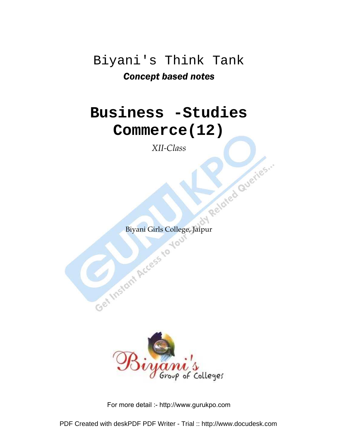## Biyani's Think Tank Concept based notes

## **Business -Studies Commerce(12)**

*XII-Class* 

Get Instant Access to Joy Related Queries.

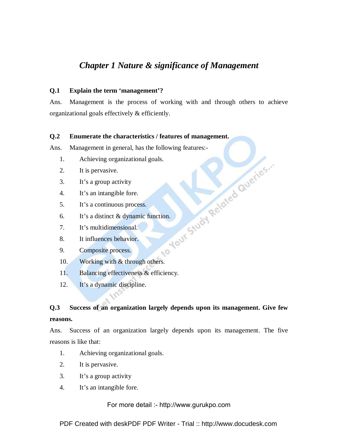## *Chapter 1 Nature & significance of Management*

## **Q.1 Explain the term 'management'?**

Ans. Management is the process of working with and through others to achieve organizational goals effectively & efficiently.

## **Q.2 Enumerate the characteristics / features of management.**

Ans. Management in general, has the following features:<br>
1. Achieving organizational goals.<br>
2. It is pervasive.<br>
3. It's a group activity<br>
4. It's a continuous process.<br>
6. It's a distinct & dynamic function<br>
7. It's mul

- 1. Achieving organizational goals.
- 2. It is pervasive.
- 3. It's a group activity
- 4. It's an intangible fore.
- 5. It's a continuous process.
- 6. It's a distinct & dynamic function.
- 7. It's multidimensional.
- 8. It influences behavior.
- 9. Composite process.
- 10. Working with & through others.
- 11. Balancing effectiveness & efficiency.
- 12. It's a dynamic discipline.

## **Q.3 Success of an organization largely depends upon its management. Give few reasons.**

 $\sqrt{6}$ 

Ans. Success of an organization largely depends upon its management. The five reasons is like that:

- 1. Achieving organizational goals.
- 2. It is pervasive.
- 3. It's a group activity
- 4. It's an intangible fore.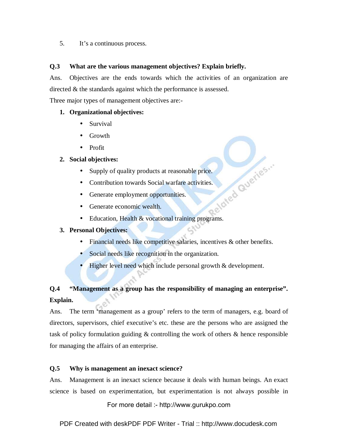5. It's a continuous process.

## **Q.3 What are the various management objectives? Explain briefly.**

Ans. Objectives are the ends towards which the activities of an organization are directed & the standards against which the performance is assessed.

Three major types of management objectives are:-

## **1. Organizational objectives:**

- Survival
- Growth
- Profit

## **2. Social objectives:**

- 
- Supply of quality products at reasonable price.<br>
Contribution towards Social warfare activities.<br>
Generate employment opportunities.<br>
Education • Contribution towards Social warfare activities.
- Generate employment opportunities.
- Generate economic wealth.
- Education, Health & vocational training programs.

## **3. Personal Objectives:**

- Financial needs like competitive salaries, incentives & other benefits.
- Social needs like recognition in the organization.
- Higher level need which include personal growth & development.

## **Q.4 "Management as a group has the responsibility of managing an enterprise". Explain.**

Ans. The term 'management as a group' refers to the term of managers, e.g. board of directors, supervisors, chief executive's etc. these are the persons who are assigned the task of policy formulation guiding & controlling the work of others & hence responsible for managing the affairs of an enterprise.

## **Q.5 Why is management an inexact science?**

Ans. Management is an inexact science because it deals with human beings. An exact science is based on experimentation, but experimentation is not always possible in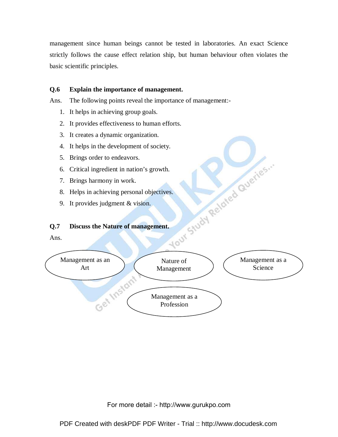management since human beings cannot be tested in laboratories. An exact Science strictly follows the cause effect relation ship, but human behaviour often violates the basic scientific principles.

## **Q.6 Explain the importance of management.**

Ans. The following points reveal the importance of management:-

- 1. It helps in achieving group goals.
- 2. It provides effectiveness to human efforts.
- 3. It creates a dynamic organization.
- 
- 5. Brings order to endeavors.
- 6. Critical ingredient in nation's growth.
- 7. Brings harmony in work.
- 8. Helps in achieving personal objectives.
- 9. It provides judgment & vision.

## **Q.7 Discuss the Nature of management.**

Ans.

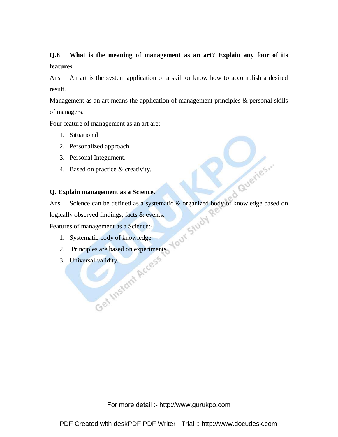## **Q.8 What is the meaning of management as an art? Explain any four of its features.**

Ans. An art is the system application of a skill or know how to accomplish a desired result.

Management as an art means the application of management principles & personal skills of managers.

Four feature of management as an art are:-

- 1. Situational
- 2. Personalized approach
- 3. Personal Integument.
- 4. Based on practice & creativity.

## **Q. Explain management as a Science.**

Ans. Science can be defined as a systematic & organized body of knowledge based on logically observed findings, facts & events.

d Queries ...

Features of management as a Science:-

- 1. Systematic body of knowledge.
- 2. Principles are based on experiments.
- 3. Universal validity.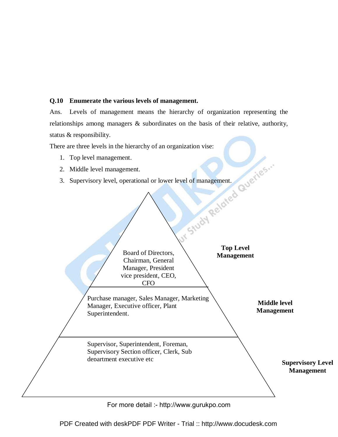## **Q.10 Enumerate the various levels of management.**

Ans. Levels of management means the hierarchy of organization representing the relationships among managers & subordinates on the basis of their relative, authority, status & responsibility.

There are three levels in the hierarchy of an organization vise:

- 1. Top level management.
- 2. Middle level management.
- 3. Supervisory level, operational or lower level of management.

 $\triangle$ 

|                 | Board of Directors,<br>Chairman, General<br>Manager, President<br>vice president, CEO,<br><b>CFO</b>        | I Study Relate<br><b>Top Level</b><br><b>Management</b> |                                          |                                               |
|-----------------|-------------------------------------------------------------------------------------------------------------|---------------------------------------------------------|------------------------------------------|-----------------------------------------------|
| Superintendent. | Purchase manager, Sales Manager, Marketing<br>Manager, Executive officer, Plant                             |                                                         | <b>Middle level</b><br><b>Management</b> |                                               |
|                 | Supervisor, Superintendent, Foreman,<br>Supervisory Section officer, Clerk, Sub<br>denartment executive etc |                                                         |                                          | <b>Supervisory Level</b><br><b>Management</b> |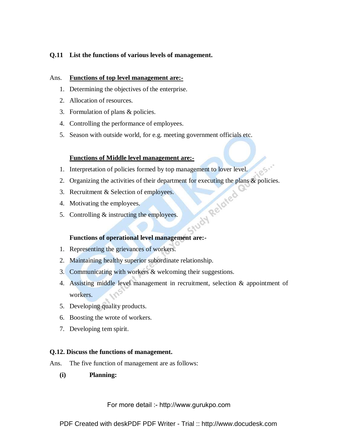## **Q.11 List the functions of various levels of management.**

## Ans. **Functions of top level management are:-**

- 1. Determining the objectives of the enterprise.
- 2. Allocation of resources.
- 3. Formulation of plans & policies.
- 4. Controlling the performance of employees.
- 5. Season with outside world, for e.g. meeting government officials etc.

## **Functions of Middle level management are:-**

- 1. Interpretation of policies formed by top management to lover level.
- 2. Organizing the activities of their department for executing the plans & policies.<br>
2. Recruitment & Selection of employees.<br>
4. Motivating the employees.<br>
5. Controlling & instructing the employees.
- 3. Recruitment & Selection of employees.
- 4. Motivating the employees.
- 5. Controlling & instructing the employees.

## **Functions of operational level management are:-**

- 1. Representing the grievances of workers.
- 2. Maintaining healthy superior subordinate relationship.
- 3. Communicating with workers & welcoming their suggestions.
- 4. Assisting middle level management in recruitment, selection & appointment of workers.
- 5. Developing quality products.
- 6. Boosting the wrote of workers.
- 7. Developing tem spirit.

## **Q.12. Discuss the functions of management.**

Ans. The five function of management are as follows:

**(i) Planning:**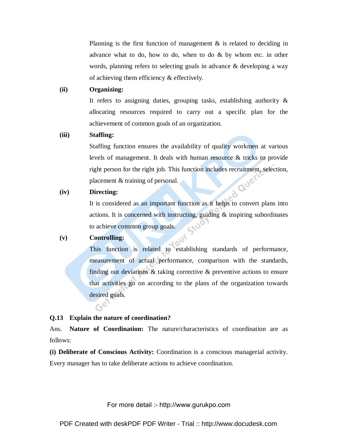Planning is the first function of management  $\&$  is related to deciding in advance what to do, how to do, when to do & by whom etc. in other words, planning refers to selecting goals in advance & developing a way of achieving them efficiency & effectively.

## **(ii) Organizing:**

It refers to assigning duties, grouping tasks, establishing authority & allocating resources required to carry out a specific plan for the achievement of common goals of an organization.

## **(iii) Staffing:**

Staffing function ensures the availability of quality workmen at various levels of management. It deals with human resource & tricks to provide right person for the right job. This function includes recruitment, selection, Quer placement & training of personal.

## **(iv) Directing:**

It is considered as an important function as it helps to convert plans into actions. It is concerned with instructing, guiding & inspiring subordinates to achieve common group goals.

## **(v) Controlling:**

This function is related to establishing standards of performance, measurement of actual performance, comparison with the standards, finding out deviations & taking corrective & preventive actions to ensure that activities go on according to the plans of the organization towards desired goals.  $G^{\mathcal{C}}$ 

## **Q.13 Explain the nature of coordination?**

Ans. **Nature of Coordination:** The nature/characteristics of coordination are as follows:

**(i) Deliberate of Conscious Activity:** Coordination is a conscious managerial activity. Every manager has to take deliberate actions to achieve coordination.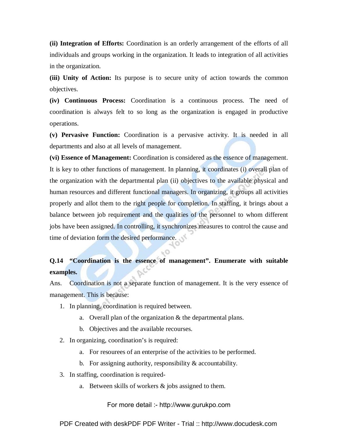**(ii) Integration of Efforts:** Coordination is an orderly arrangement of the efforts of all individuals and groups working in the organization. It leads to integration of all activities in the organization.

**(iii) Unity of Action:** Its purpose is to secure unity of action towards the common objectives.

**(iv) Continuous Process:** Coordination is a continuous process. The need of coordination is always felt to so long as the organization is engaged in productive operations.

**(v) Pervasive Function:** Coordination is a pervasive activity. It is needed in all departments and also at all levels of management.

**(vi) Essence of Management:** Coordination is considered as the essence of management. It is key to other functions of management. In planning, it coordinates (i) overall plan of the organization with the departmental plan (ii) objectives to the available physical and human resources and different functional managers. In organizing, it groups all activities properly and allot them to the right people for completion. In staffing, it brings about a balance between job requirement and the qualities of the personnel to whom different jobs have been assigned. In controlling, it synchronizes measures to control the cause and time of deviation form the desired performance.

## **Q.14 "Coordination is the essence of management". Enumerate with suitable examples.**

Ans. Coordination is not a separate function of management. It is the very essence of management. This is because:

- 1. In planning, coordination is required between.
	- a. Overall plan of the organization & the departmental plans.
	- b. Objectives and the available recourses.
- 2. In organizing, coordination's is required:
	- a. For resourees of an enterprise of the activities to be performed.
	- b. For assigning authority, responsibility & accountability.
- 3. In staffing, coordination is required
	- a. Between skills of workers & jobs assigned to them.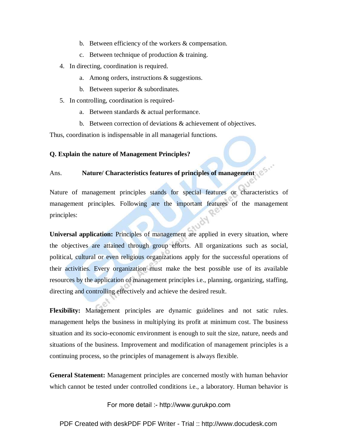- b. Between efficiency of the workers & compensation.
- c. Between technique of production & training.
- 4. In directing, coordination is required.
	- a. Among orders, instructions & suggestions.
	- b. Between superior & subordinates.
- 5. In controlling, coordination is required
	- a. Between standards & actual performance.
	- b. Between correction of deviations & achievement of objectives.

Thus, coordination is indispensable in all managerial functions.

## **Q. Explain the nature of Management Principles?**

## Ans. **Nature/ Characteristics features of principles of management**

Nature of management principles stands for special features or characteristics of management principles. Following are the important features of the management principles:

**Universal application:** Principles of management are applied in every situation, where the objectives are attained through group efforts. All organizations such as social, political, cultural or even religious organizations apply for the successful operations of their activities. Every organization must make the best possible use of its available resources by the application of management principles i.e., planning, organizing, staffing, directing and controlling effectively and achieve the desired result.

**Flexibility:** Management principles are dynamic guidelines and not satic rules. management helps the business in multiplying its profit at minimum cost. The business situation and its socio-economic environment is enough to suit the size, nature, needs and situations of the business. Improvement and modification of management principles is a continuing process, so the principles of management is always flexible.

**General Statement:** Management principles are concerned mostly with human behavior which cannot be tested under controlled conditions i.e., a laboratory. Human behavior is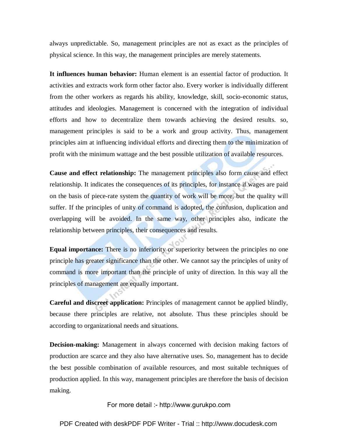always unpredictable. So, management principles are not as exact as the principles of physical science. In this way, the management principles are merely statements.

**It influences human behavior:** Human element is an essential factor of production. It activities and extracts work form other factor also. Every worker is individually different from the other workers as regards his ability, knowledge, skill, socio-economic status, attitudes and ideologies. Management is concerned with the integration of individual efforts and how to decentralize them towards achieving the desired results. so, management principles is said to be a work and group activity. Thus, management principles aim at influencing individual efforts and directing them to the minimization of profit with the minimum wattage and the best possible utilization of available resources.

**Cause and effect relationship:** The management principles also form cause and effect relationship. It indicates the consequences of its principles, for instance if wages are paid on the basis of piece-rate system the quantity of work will be more, but the quality will suffer. If the principles of unity of command is adopted, the confusion, duplication and overlapping will be avoided. In the same way, other principles also, indicate the relationship between principles, their consequences and results.

**Equal importance:** There is no inferiority or superiority between the principles no one principle has greater significance than the other. We cannot say the principles of unity of command is more important than the principle of unity of direction. In this way all the principles of management are equally important.

**Careful and discreet application:** Principles of management cannot be applied blindly, because there principles are relative, not absolute. Thus these principles should be according to organizational needs and situations.

**Decision-making:** Management in always concerned with decision making factors of production are scarce and they also have alternative uses. So, management has to decide the best possible combination of available resources, and most suitable techniques of production applied. In this way, management principles are therefore the basis of decision making.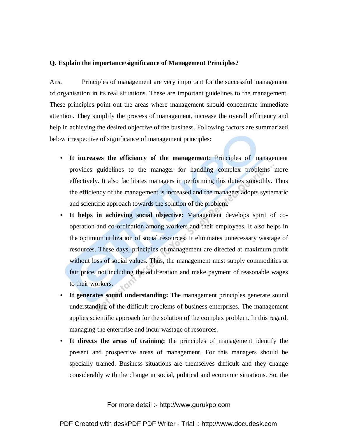## **Q. Explain the importance/significance of Management Principles?**

Ans. Principles of management are very important for the successful management of organisation in its real situations. These are important guidelines to the management. These principles point out the areas where management should concentrate immediate attention. They simplify the process of management, increase the overall efficiency and help in achieving the desired objective of the business. Following factors are summarized below irrespective of significance of management principles:

- **It increases the efficiency of the management:** Principles of management provides guidelines to the manager for handling complex problems more effectively. It also facilitates managers in performing this duties smoothly. Thus the efficiency of the management is increased and the managers adopts systematic and scientific approach towards the solution of the problem.
- **It helps in achieving social objective:** Management develops spirit of cooperation and co-ordination among workers and their employees. It also helps in the optimum utilization of social resources. It eliminates unnecessary wastage of resources. These days, principles of management are directed at maximum profit without loss of social values. Thus, the management must supply commodities at fair price, not including the adulteration and make payment of reasonable wages to their workers.
- **It generates sound understanding:** The management principles generate sound understanding of the difficult problems of business enterprises. The management applies scientific approach for the solution of the complex problem. In this regard, managing the enterprise and incur wastage of resources.
- **It directs the areas of training:** the principles of management identify the present and prospective areas of management. For this managers should be specially trained. Business situations are themselves difficult and they change considerably with the change in social, political and economic situations. So, the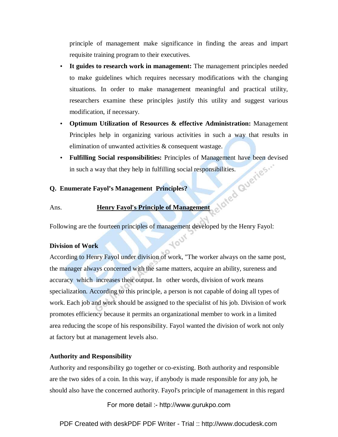principle of management make significance in finding the areas and impart requisite training program to their executives.

- **It guides to research work in management:** The management principles needed to make guidelines which requires necessary modifications with the changing situations. In order to make management meaningful and practical utility, researchers examine these principles justify this utility and suggest various modification, if necessary.
- **Optimum Utilization of Resources & effective Administration:** Management Principles help in organizing various activities in such a way that results in elimination of unwanted activities & consequent wastage.
- **Fulfilling Social responsibilities:** Principles of Management have been devised in such a way that they help in fulfilling social responsibilities.

## **Q. Enumerate Fayol's Management Principles?**

## Ans. **Henry Fayol's Principle of Management**

Following are the fourteen principles of management developed by the Henry Fayol:

1001

## **Division of Work**

According to Henry Fayol under division of work, "The worker always on the same post, the manager always concerned with the same matters, acquire an ability, sureness and accuracy which increases their output. In other words, division of work means specialization. According to this principle, a person is not capable of doing all types of work. Each job and work should be assigned to the specialist of his job. Division of work promotes efficiency because it permits an organizational member to work in a limited area reducing the scope of his responsibility. Fayol wanted the division of work not only at factory but at management levels also.

## **Authority and Responsibility**

Authority and responsibility go together or co-existing. Both authority and responsible are the two sides of a coin. In this way, if anybody is made responsible for any job, he should also have the concerned authority. Fayol's principle of management in this regard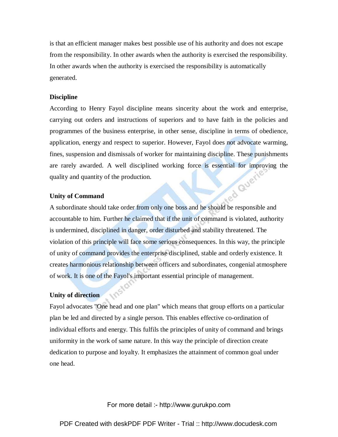is that an efficient manager makes best possible use of his authority and does not escape from the responsibility. In other awards when the authority is exercised the responsibility. In other awards when the authority is exercised the responsibility is automatically generated.

## **Discipline**

According to Henry Fayol discipline means sincerity about the work and enterprise, carrying out orders and instructions of superiors and to have faith in the policies and programmes of the business enterprise, in other sense, discipline in terms of obedience, application, energy and respect to superior. However, Fayol does not advocate warming, fines, suspension and dismissals of worker for maintaining discipline. These punishments are rarely awarded. A well disciplined working force is essential for improving the quality and quantity of the production.<br>Unity of Command quality and quantity of the production.

## **Unity of Command**

A subordinate should take order from only one boss and he should be responsible and accountable to him. Further he claimed that if the unit of command is violated, authority is undermined, disciplined in danger, order disturbed and stability threatened. The violation of this principle will face some serious consequences. In this way, the principle of unity of command provides the enterprise disciplined, stable and orderly existence. It creates harmonious relationship between officers and subordinates, congenial atmosphere of work. It is one of the Fayol's important essential principle of management.

## **Unity of direction**

Fayol advocates "One head and one plan" which means that group efforts on a particular plan be led and directed by a single person. This enables effective co-ordination of individual efforts and energy. This fulfils the principles of unity of command and brings uniformity in the work of same nature. In this way the principle of direction create dedication to purpose and loyalty. It emphasizes the attainment of common goal under one head.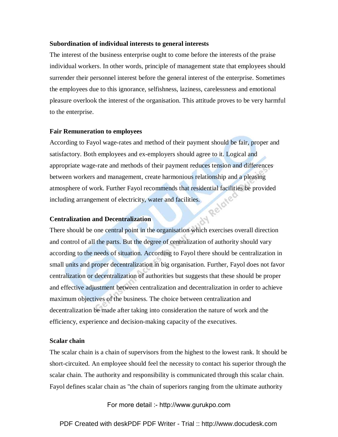## **Subordination of individual interests to general interests**

The interest of the business enterprise ought to come before the interests of the praise individual workers. In other words, principle of management state that employees should surrender their personnel interest before the general interest of the enterprise. Sometimes the employees due to this ignorance, selfishness, laziness, carelessness and emotional pleasure overlook the interest of the organisation. This attitude proves to be very harmful to the enterprise.

## **Fair Remuneration to employees**

According to Fayol wage-rates and method of their payment should be fair, proper and satisfactory. Both employees and ex-employers should agree to it. Logical and appropriate wage-rate and methods of their payment reduces tension and differences between workers and management, create harmonious relationship and a pleasing atmosphere of work. Further Fayol recommends that residential facilities be provided<br>including arrangement of electricity, water and facilities.<br>Centralization and Decentral: including arrangement of electricity, water and facilities.

## **Centralization and Decentralization**

There should be one central point in the organisation which exercises overall direction and control of all the parts. But the degree of centralization of authority should vary according to the needs of situation. According to Fayol there should be centralization in small units and proper decentralization in big organisation. Further, Fayol does not favor centralization or decentralization of authorities but suggests that these should be proper and effective adjustment between centralization and decentralization in order to achieve maximum objectives of the business. The choice between centralization and decentralization be made after taking into consideration the nature of work and the efficiency, experience and decision-making capacity of the executives.

## **Scalar chain**

The scalar chain is a chain of supervisors from the highest to the lowest rank. It should be short-circuited. An employee should feel the necessity to contact his superior through the scalar chain. The authority and responsibility is communicated through this scalar chain. Fayol defines scalar chain as "the chain of superiors ranging from the ultimate authority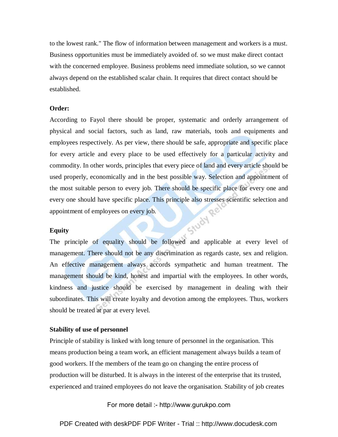to the lowest rank." The flow of information between management and workers is a must. Business opportunities must be immediately avoided of. so we must make direct contact with the concerned employee. Business problems need immediate solution, so we cannot always depend on the established scalar chain. It requires that direct contact should be established.

## **Order:**

According to Fayol there should be proper, systematic and orderly arrangement of physical and social factors, such as land, raw materials, tools and equipments and employees respectively. As per view, there should be safe, appropriate and specific place for every article and every place to be used effectively for a particular activity and commodity. In other words, principles that every piece of land and every article should be used properly, economically and in the best possible way. Selection and appointment of the most suitable person to every job. There should be specific place for every one and every one should have specific place. This principle also stresses scientific selection and appointment of employees on every job.<br>Equity appointment of employees on every job.

## **Equity**

The principle of equality should be followed and applicable at every level of management. There should not be any discrimination as regards caste, sex and religion. An effective management always accords sympathetic and human treatment. The management should be kind, honest and impartial with the employees. In other words, kindness and justice should be exercised by management in dealing with their subordinates. This will create loyalty and devotion among the employees. Thus, workers should be treated at par at every level.

## **Stability of use of personnel**

Principle of stability is linked with long tenure of personnel in the organisation. This means production being a team work, an efficient management always builds a team of good workers. If the members of the team go on changing the entire process of production will be disturbed. It is always in the interest of the enterprise that its trusted, experienced and trained employees do not leave the organisation. Stability of job creates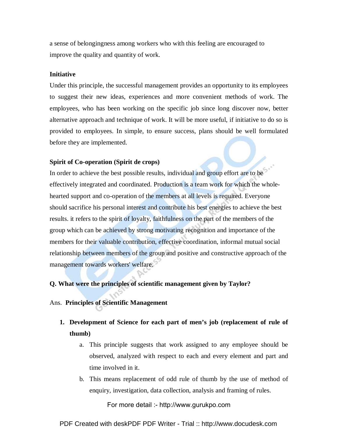a sense of belongingness among workers who with this feeling are encouraged to improve the quality and quantity of work.

## **Initiative**

Under this principle, the successful management provides an opportunity to its employees to suggest their new ideas, experiences and more convenient methods of work. The employees, who has been working on the specific job since long discover now, better alternative approach and technique of work. It will be more useful, if initiative to do so is provided to employees. In simple, to ensure success, plans should be well formulated before they are implemented.

## **Spirit of Co-operation (Spirit de crops)**

In order to achieve the best possible results, individual and group effort are to be effectively integrated and coordinated. Production is a team work for which the wholehearted support and co-operation of the members at all levels is required. Everyone should sacrifice his personal interest and contribute his best energies to achieve the best results. it refers to the spirit of loyalty, faithfulness on the part of the members of the group which can be achieved by strong motivating recognition and importance of the members for their valuable contribution, effective coordination, informal mutual social relationship between members of the group and positive and constructive approach of the management towards workers' welfare.

## **Q. What were the principles of scientific management given by Taylor?**

## Ans. **Principles of Scientific Management**

- **1. Development of Science for each part of men's job (replacement of rule of thumb)** 
	- a. This principle suggests that work assigned to any employee should be observed, analyzed with respect to each and every element and part and time involved in it.
	- b. This means replacement of odd rule of thumb by the use of method of enquiry, investigation, data collection, analysis and framing of rules.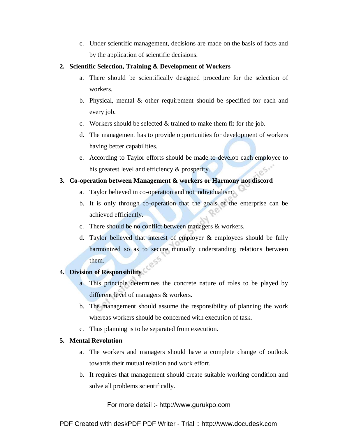c. Under scientific management, decisions are made on the basis of facts and by the application of scientific decisions.

## **2. Scientific Selection, Training & Development of Workers**

- a. There should be scientifically designed procedure for the selection of workers.
- b. Physical, mental & other requirement should be specified for each and every job.
- c. Workers should be selected & trained to make them fit for the job.
- d. The management has to provide opportunities for development of workers having better capabilities.
- e. According to Taylor efforts should be made to develop each employee to his greatest level and efficiency & prosperity.

## **3. Co-operation between Management & workers or Harmony not discord**

- a. Taylor believed in co-operation and not individualism.
- b. It is only through co-operation that the goals of the enterprise can be achieved efficiently.
- c. There should be no conflict between managers & workers.
- d. Taylor believed that interest of employer & employees should be fully harmonized so as to secure mutually understanding relations between them.

## **4. Division of Responsibility**

- a. This principle determines the concrete nature of roles to be played by different level of managers & workers.
- b. The management should assume the responsibility of planning the work whereas workers should be concerned with execution of task.
- c. Thus planning is to be separated from execution.

## **5. Mental Revolution**

- a. The workers and managers should have a complete change of outlook towards their mutual relation and work effort.
- b. It requires that management should create suitable working condition and solve all problems scientifically.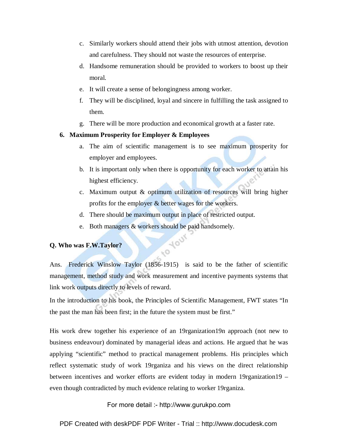- c. Similarly workers should attend their jobs with utmost attention, devotion and carefulness. They should not waste the resources of enterprise.
- d. Handsome remuneration should be provided to workers to boost up their moral.
- e. It will create a sense of belongingness among worker.
- f. They will be disciplined, loyal and sincere in fulfilling the task assigned to them.
- g. There will be more production and economical growth at a faster rate.

## **6. Maximum Prosperity for Employer & Employees**

- a. The aim of scientific management is to see maximum prosperity for employer and employees.
- b. It is important only when there is opportunity for each worker to attain his highest efficiency.
- c. Maximum output & optimum utilization of resources will bring higher profits for the employer & better wages for the workers.
- d. There should be maximum output in place of restricted output.
- e. Both managers & workers should be paid handsomely.<br>as F.W.Taylor?

## **Q. Who was F.W.Taylor?**

Ans. Frederick Winslow Taylor (1856-1915) is said to be the father of scientific management, method study and work measurement and incentive payments systems that link work outputs directly to levels of reward.

In the introduction to his book, the Principles of Scientific Management, FWT states "In the past the man has been first; in the future the system must be first."

His work drew together his experience of an 19rganization19n approach (not new to business endeavour) dominated by managerial ideas and actions. He argued that he was applying "scientific" method to practical management problems. His principles which reflect systematic study of work 19rganiza and his views on the direct relationship between incentives and worker efforts are evident today in modern 19rganization19 – even though contradicted by much evidence relating to worker 19rganiza.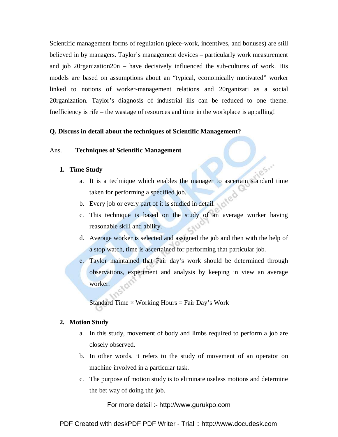Scientific management forms of regulation (piece-work, incentives, and bonuses) are still believed in by managers. Taylor's management devices – particularly work measurement and job 20rganization20n – have decisively influenced the sub-cultures of work. His models are based on assumptions about an "typical, economically motivated" worker linked to notions of worker-management relations and 20rganizati as a social 20rganization. Taylor's diagnosis of industrial ills can be reduced to one theme. Inefficiency is rife – the wastage of resources and time in the workplace is appalling!

## **Q. Discuss in detail about the techniques of Scientific Management?**

## Ans. **Techniques of Scientific Management**

## **1. Time Study**

a. It is a technique which enables the manager to ascertain standard time taken for performing a specified job.

105.

- b. Every job or every part of it is studied in detail.
- c. This technique is based on the study of an average worker having reasonable skill and ability.
- d. Average worker is selected and assigned the job and then with the help of a stop watch, time is ascertained for performing that particular job.
- e. Taylor maintained that Fair day's work should be determined through observations, experiment and analysis by keeping in view an average worker.

Standard Time  $\times$  Working Hours = Fair Day's Work

## **2. Motion Study**

- a. In this study, movement of body and limbs required to perform a job are closely observed.
- b. In other words, it refers to the study of movement of an operator on machine involved in a particular task.
- c. The purpose of motion study is to eliminate useless motions and determine the bet way of doing the job.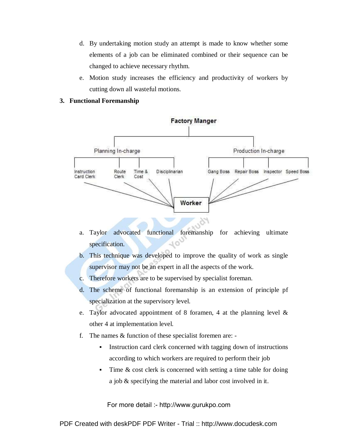- d. By undertaking motion study an attempt is made to know whether some elements of a job can be eliminated combined or their sequence can be changed to achieve necessary rhythm.
- e. Motion study increases the efficiency and productivity of workers by cutting down all wasteful motions.
- **3. Functional Foremanship**



- a. Taylor advocated functional foremanship for achieving ultimate specification.
- b. This technique was developed to improve the quality of work as single supervisor may not be an expert in all the aspects of the work.
- c. Therefore workers are to be supervised by specialist foreman.
- d. The scheme of functional foremanship is an extension of principle pf specialization at the supervisory level.
- e. Taylor advocated appointment of 8 foramen, 4 at the planning level & other 4 at implementation level.
- f. The names & function of these specialist foremen are:
	- Instruction card clerk concerned with tagging down of instructions according to which workers are required to perform their job
	- Time & cost clerk is concerned with setting a time table for doing a job & specifying the material and labor cost involved in it.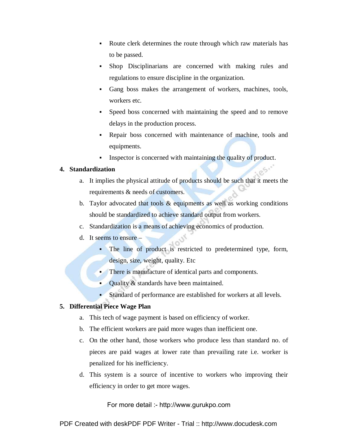- Route clerk determines the route through which raw materials has to be passed.
- Shop Disciplinarians are concerned with making rules and regulations to ensure discipline in the organization.
- Gang boss makes the arrangement of workers, machines, tools, workers etc.
- Speed boss concerned with maintaining the speed and to remove delays in the production process.
- Repair boss concerned with maintenance of machine, tools and equipments.
- Inspector is concerned with maintaining the quality of product.

## **4. Standardization**

- a. It implies the physical attitude of products should be such that it meets the requirements & needs of customers.
- b. Taylor advocated that tools  $\&$  equipments as well as working conditions should be standardized to achieve standard output from workers.
- c. Standardization is a means of achieving economics of production.
- d. It seems to ensure
	- The line of product is restricted to predetermined type, form, design, size, weight, quality. Etc
	- There is manufacture of identical parts and components.
	- Quality & standards have been maintained.
	- Standard of performance are established for workers at all levels.

## **5. Differential Piece Wage Plan**

- a. This tech of wage payment is based on efficiency of worker.
- b. The efficient workers are paid more wages than inefficient one.
- c. On the other hand, those workers who produce less than standard no. of pieces are paid wages at lower rate than prevailing rate i.e. worker is penalized for his inefficiency.
- d. This system is a source of incentive to workers who improving their efficiency in order to get more wages.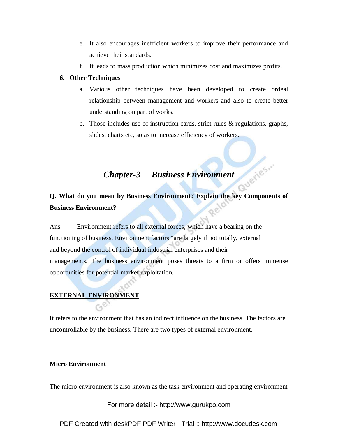- e. It also encourages inefficient workers to improve their performance and achieve their standards.
- f. It leads to mass production which minimizes cost and maximizes profits.

## **6. Other Techniques**

- a. Various other techniques have been developed to create ordeal relationship between management and workers and also to create better understanding on part of works.
- b. Those includes use of instruction cards, strict rules & regulations, graphs, slides, charts etc, so as to increase efficiency of workers.

## *Chapter-3 Business Environment*

## **Q. What do you mean by Business Environment? Explain the key Components of**  Rela **Business Environment?**

Ans. Environment refers to all external forces, which have a bearing on the functioning of business. Environment factors "are largely if not totally, external and beyond the control of individual industrial enterprises and their managements. The business environment poses threats to a firm or offers immense opportunities for potential market exploitation.

## **EXTERNAL ENVIRONMENT**

It refers to the environment that has an indirect influence on the business. The factors are uncontrollable by the business. There are two types of external environment.

## **Micro Environment**

The micro environment is also known as the task environment and operating environment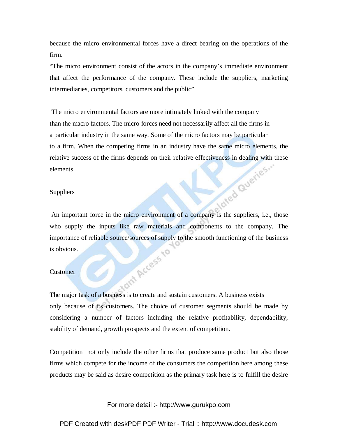because the micro environmental forces have a direct bearing on the operations of the firm.

"The micro environment consist of the actors in the company's immediate environment that affect the performance of the company. These include the suppliers, marketing intermediaries, competitors, customers and the public"

 The micro environmental factors are more intimately linked with the company than the macro factors. The micro forces need not necessarily affect all the firms in a particular industry in the same way. Some of the micro factors may be particular to a firm. When the competing firms in an industry have the same micro elements, the relative success of the firms depends on their relative effectiveness in dealing with these<br>elements<br>Suppliers elements

## **Suppliers**

An important force in the micro environment of a company is the suppliers, i.e., those who supply the inputs like raw materials and components to the company. The importance of reliable source/sources of supply to the smooth functioning of the business<br>is obvious.<br>Customer is obvious.

## Customer

The major task of a business is to create and sustain customers. A business exists only because of its customers. The choice of customer segments should be made by considering a number of factors including the relative profitability, dependability, stability of demand, growth prospects and the extent of competition.

Competition not only include the other firms that produce same product but also those firms which compete for the income of the consumers the competition here among these products may be said as desire competition as the primary task here is to fulfill the desire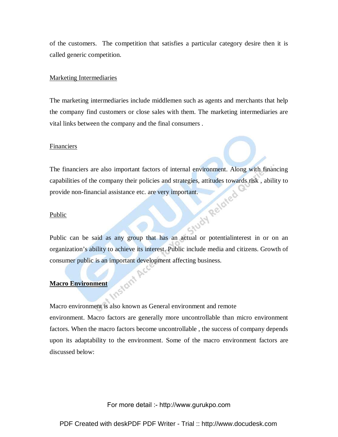of the customers. The competition that satisfies a particular category desire then it is called generic competition.

## Marketing Intermediaries

The marketing intermediaries include middlemen such as agents and merchants that help the company find customers or close sales with them. The marketing intermediaries are vital links between the company and the final consumers .

## Financiers

The financiers are also important factors of internal environment. Along with financing capabilities of the company their policies and strategies, attitudes towards risk, ability to<br>provide non-financial assistance etc. are very important.<br>Public provide non-financial assistance etc. are very important.

## Public

Public can be said as any group that has an actual or potentialinterest in or on an organization's ability to achieve its interest. Public include media and citizens. Growth of consumer public is an important development affecting business.<br>Macro Environment

## **Macro Environment**

Macro environment is also known as General environment and remote environment. Macro factors are generally more uncontrollable than micro environment factors. When the macro factors become uncontrollable , the success of company depends upon its adaptability to the environment. Some of the macro environment factors are discussed below: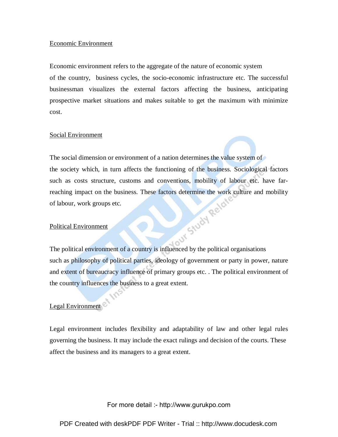## Economic Environment

Economic environment refers to the aggregate of the nature of economic system of the country, business cycles, the socio-economic infrastructure etc. The successful businessman visualizes the external factors affecting the business, anticipating prospective market situations and makes suitable to get the maximum with minimize cost.

## Social Environment

The social dimension or environment of a nation determines the value system of the society which, in turn affects the functioning of the business. Sociological factors such as costs structure, customs and conventions, mobility of labour etc. have farreaching impact on the business. These factors determine the work culture and mobility of labour, work groups etc.<br>Political Environment<br>The political Control of the mobility of the mobility of the mobility of the mobility of labour, work groups etc.

## Political Environment

The political environment of a country is influenced by the political organisations such as philosophy of political parties, ideology of government or party in power, nature and extent of bureaucracy influence of primary groups etc. . The political environment of the country influences the business to a great extent.

## Legal Environment

Legal environment includes flexibility and adaptability of law and other legal rules governing the business. It may include the exact rulings and decision of the courts. These affect the business and its managers to a great extent.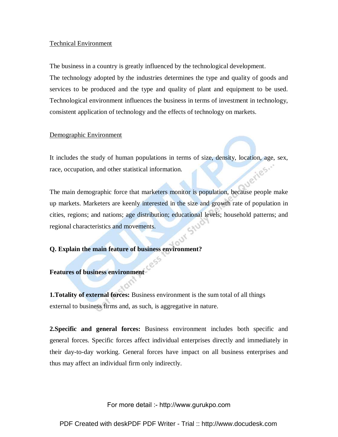## Technical Environment

The business in a country is greatly influenced by the technological development.

The technology adopted by the industries determines the type and quality of goods and services to be produced and the type and quality of plant and equipment to be used. Technological environment influences the business in terms of investment in technology, consistent application of technology and the effects of technology on markets.

## Demographic Environment

It includes the study of human populations in terms of size, density, location, age, sex, race, occupation, and other statistical information. race, occupation, and other statistical information.

The main demographic force that marketers monitor is population, because people make up markets. Marketers are keenly interested in the size and growth rate of population in cities, regions; and nations; age distribution; educational levels; household patterns; and  $50$ regional characteristics and movements.

## **Q. Explain the main feature of business environment?**

## **Features of business environment**

**1.Totality of external forces:** Business environment is the sum total of all things external to business firms and, as such, is aggregative in nature.

**2.Specific and general forces:** Business environment includes both specific and general forces. Specific forces affect individual enterprises directly and immediately in their day-to-day working. General forces have impact on all business enterprises and thus may affect an individual firm only indirectly.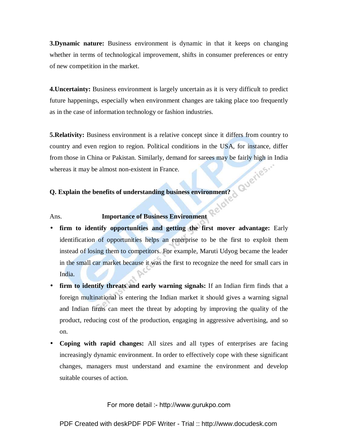**3.Dynamic nature:** Business environment is dynamic in that it keeps on changing whether in terms of technological improvement, shifts in consumer preferences or entry of new competition in the market.

**4. Uncertainty:** Business environment is largely uncertain as it is very difficult to predict future happenings, especially when environment changes are taking place too frequently as in the case of information technology or fashion industries.

**5.Relativity:** Business environment is a relative concept since it differs from country to country and even region to region. Political conditions in the USA, for instance, differ from those in China or Pakistan. Similarly, demand for sarees may be fairly high in India whereas it may be almost non-existent in France.

## **Q. Explain the benefits of understanding business environment?**

## Ans. **Importance of Business Environment**

- **firm to identify opportunities and getting the first mover advantage:** Early identification of opportunities helps an enterprise to be the first to exploit them instead of losing them to competitors. For example, Maruti Udyog became the leader in the small car market because it was the first to recognize the need for small cars in India.
- **firm to identify threats and early warning signals:** If an Indian firm finds that a foreign multinational is entering the Indian market it should gives a warning signal and Indian firms can meet the threat by adopting by improving the quality of the product, reducing cost of the production, engaging in aggressive advertising, and so on.
- **Coping with rapid changes:** All sizes and all types of enterprises are facing increasingly dynamic environment. In order to effectively cope with these significant changes, managers must understand and examine the environment and develop suitable courses of action.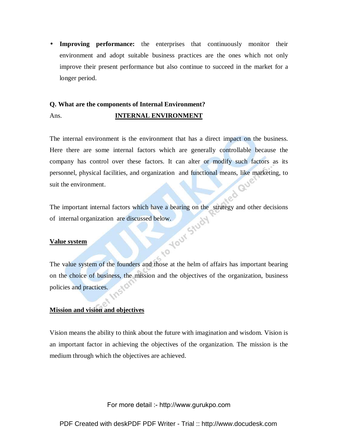• **Improving performance:** the enterprises that continuously monitor their environment and adopt suitable business practices are the ones which not only improve their present performance but also continue to succeed in the market for a longer period.

## **Q. What are the components of Internal Environment?**  Ans. **INTERNAL ENVIRONMENT**

The internal environment is the environment that has a direct impact on the business. Here there are some internal factors which are generally controllable because the company has control over these factors. It can alter or modify such factors as its personnel, physical facilities, and organization and functional means, like marketing, to<br>suit the environment. suit the environment.

The important internal factors which have a bearing on the strategy and other decisions of internal organization are discussed below.<br>Value system of internal organization are discussed below.

## **Value system**

The value system of the founders and those at the helm of affairs has important bearing on the choice of business, the mission and the objectives of the organization, business policies and practices.

## **Mission and vision and objectives**

Vision means the ability to think about the future with imagination and wisdom. Vision is an important factor in achieving the objectives of the organization. The mission is the medium through which the objectives are achieved.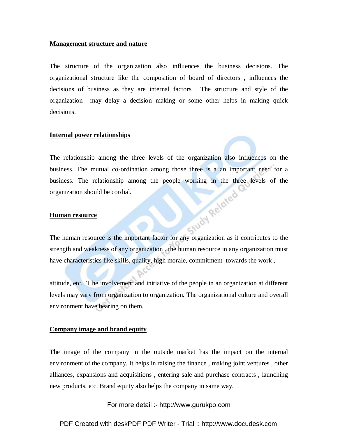## **Management structure and nature**

The structure of the organization also influences the business decisions. The organizational structure like the composition of board of directors , influences the decisions of business as they are internal factors . The structure and style of the organization may delay a decision making or some other helps in making quick decisions.

## **Internal power relationships**

The relationship among the three levels of the organization also influences on the business. The mutual co-ordination among those three is a an important need for a business. The relationship among the people working in the three levels of the organization should be cordial.<br> **Human resource** organization should be cordial.

## **Human resource**

The human resource is the important factor for any organization as it contributes to the strength and weakness of any organization . the human resource in any organization must have characteristics like skills, quality, high morale, commitment towards the work ,

attitude, etc. T he involvement and initiative of the people in an organization at different levels may vary from organization to organization. The organizational culture and overall environment have bearing on them.

## **Company image and brand equity**

The image of the company in the outside market has the impact on the internal environment of the company. It helps in raising the finance , making joint ventures , other alliances, expansions and acquisitions , entering sale and purchase contracts , launching new products, etc. Brand equity also helps the company in same way.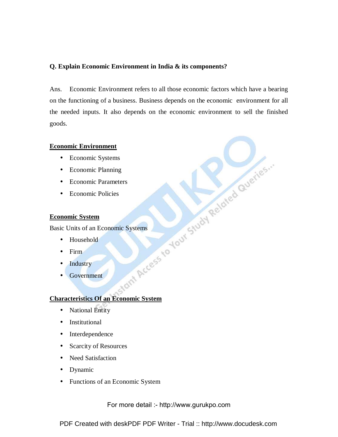## **Q. Explain Economic Environment in India & its components?**

Ans. Economic Environment refers to all those economic factors which have a bearing on the functioning of a business. Business depends on the economic environment for all the needed inputs. It also depends on the economic environment to sell the finished goods.

- Economic Systems
- Economic Planning
- Economic Parameters
- Economic Policies

## **Economic System**

Basic Units of an Economic Systems

- Household
- Firm
- **Industry**
- Government

# Economic Environment<br>
Economic Planning<br>
Economic Parameters<br>
Economic Policies<br>
Economic Policies<br>
Economic Systems<br>
Basic Units of an Economic Systems<br>
Basic Units of an Economic Systems<br>
Basic Units of an Economic Syste **Characteristics Of an Economic System**

- National Entity
- Institutional
- Interdependence
- Scarcity of Resources
- Need Satisfaction
- Dynamic
- Functions of an Economic System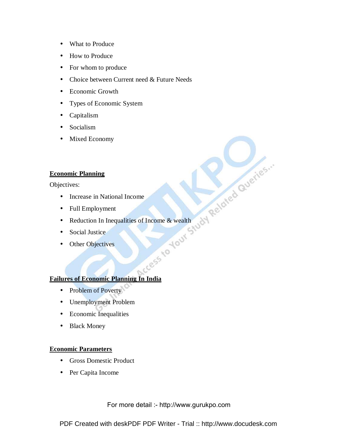- What to Produce
- How to Produce
- For whom to produce
- Choice between Current need & Future Needs
- Economic Growth
- Types of Economic System
- Capitalism
- Socialism
- Mixed Economy

## **Economic Planning**

Objectives:

- 
- Full Employment
- THE Employment<br>
 Full Employment<br>
 Reduction In Inequalities of Income & wealth<br>
 Social Justice<br>
 Other Objectives<br>
 Other Objectives<br>
 Note of Exploration<br>
 Note of Exploration<br>
 Note of Exploration<br>
 Note of Ex • Reduction In Inequalities of Income & wealth
- Social Justice
- Other Objectives

## **Failures of Economic Planning In India**

- Problem of Poverty
- Unemployment Problem
- Economic Inequalities
- Black Money

## **Economic Parameters**

- Gross Domestic Product
- Per Capita Income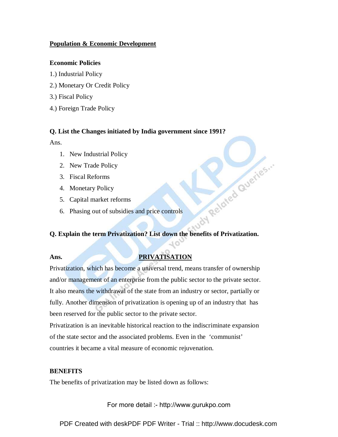## **Population & Economic Development**

## **Economic Policies**

- 1.) Industrial Policy
- 2.) Monetary Or Credit Policy
- 3.) Fiscal Policy
- 4.) Foreign Trade Policy

## **Q. List the Changes initiated by India government since 1991?**

Ans.

- 1. New Industrial Policy
- 2. New Trade Policy
- 3. Fiscal Reforms
- 4. Monetary Policy
- 5. Capital market reforms
- 

# Explain the town of subsidies and price controls<br>Explain the town of subsidies and price controls<br>Explain the town of the set of the set of the set of the set of the set of the set of the set of the set of the set of the s **Q. Explain the term Privatization? List down the benefits of Privatization.**

## Ans. PRIVATISATION

Privatization, which has become a universal trend, means transfer of ownership and/or management of an enterprise from the public sector to the private sector. It also means the withdrawal of the state from an industry or sector, partially or fully. Another dimension of privatization is opening up of an industry that has been reserved for the public sector to the private sector.

Privatization is an inevitable historical reaction to the indiscriminate expansion of the state sector and the associated problems. Even in the 'communist' countries it became a vital measure of economic rejuvenation.

## **BENEFITS**

The benefits of privatization may be listed down as follows: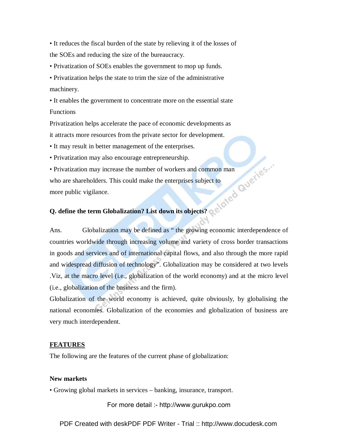• It reduces the fiscal burden of the state by relieving it of the losses of the SOEs and reducing the size of the bureaucracy.

• Privatization of SOEs enables the government to mop up funds.

• Privatization helps the state to trim the size of the administrative machinery.

• It enables the government to concentrate more on the essential state Functions

Privatization helps accelerate the pace of economic developments as it attracts more resources from the private sector for development.

• It may result in better management of the enterprises.

• Privatization may also encourage entrepreneurship.

• Privatization may increase the number of workers and common man who are shareholders. This could make the enterprises subject to more public vigilance.

## **Q. define the term Globalization? List down its objects?**

Ans. Globalization may be defined as " the growing economic interdependence of countries worldwide through increasing volume and variety of cross border transactions in goods and services and of international capital flows, and also through the more rapid and widespread diffusion of technology". Globalization may be considered at two levels .Viz, at the macro level (i.e., globalization of the world economy) and at the micro level (i.e., globalization of the business and the firm).

Globalization of the world economy is achieved, quite obviously, by globalising the national economies. Globalization of the economies and globalization of business are very much interdependent.

## **FEATURES**

The following are the features of the current phase of globalization:

## **New markets**

• Growing global markets in services – banking, insurance, transport.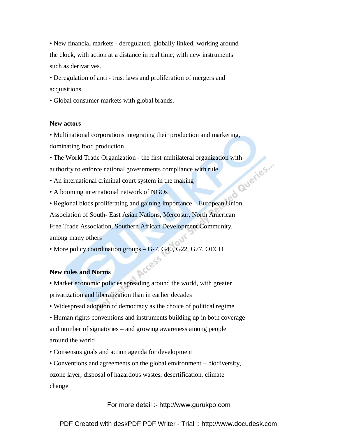• New financial markets - deregulated, globally linked, working around the clock, with action at a distance in real time, with new instruments such as derivatives.

• Deregulation of anti - trust laws and proliferation of mergers and acquisitions.

• Global consumer markets with global brands.

## **New actors**

• Multinational corporations integrating their production and marketing,

dominating food production

• The World Trade Organization - the first multilateral organization with<br>authority to enforce national governments compliance with rule<br>• An international criminal court system in the making<br>• A booming international cour authority to enforce national governments compliance with rule

- An international criminal court system in the making
- A booming international network of NGOs
- Regional blocs proliferating and gaining importance European Union,

Association of South- East Asian Nations, Mercosur, North American

Free Trade Association, Southern African Development Community, among many others

• More policy coordination groups – G-7, G40, G22, G77, OECD Arcess

## **New rules and Norms**

• Market economic policies spreading around the world, with greater privatization and liberalization than in earlier decades

• Widespread adoption of democracy as the choice of political regime

• Human rights conventions and instruments building up in both coverage and number of signatories – and growing awareness among people around the world

• Consensus goals and action agenda for development

• Conventions and agreements on the global environment – biodiversity, ozone layer, disposal of hazardous wastes, desertification, climate change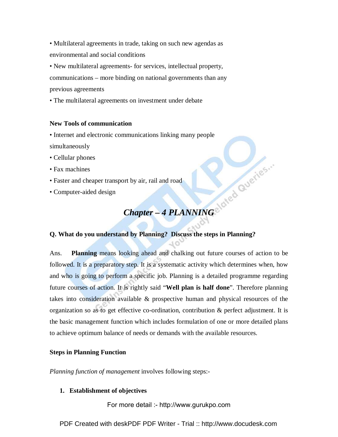• Multilateral agreements in trade, taking on such new agendas as environmental and social conditions

• New multilateral agreements- for services, intellectual property, communications – more binding on national governments than any previous agreements

• The multilateral agreements on investment under debate

## **New Tools of communication**

• Internet and electronic communications linking many people

simultaneously

- Cellular phones
- Fax machines
- Faster and cheaper transport by air, rail and road
- Computer-aided design

# **Chapter – 4 PLANNING** of  $e^{t}$  and  $e^{t}$ **Q. What do you understand by Planning? Discuss the steps in Planning?**

Ans. **Planning** means looking ahead and chalking out future courses of action to be followed. It is a preparatory step. It is a systematic activity which determines when, how and who is going to perform a specific job. Planning is a detailed programme regarding future courses of action. It is rightly said "**Well plan is half done**". Therefore planning takes into consideration available & prospective human and physical resources of the organization so as to get effective co-ordination, contribution  $\&$  perfect adjustment. It is the basic management function which includes formulation of one or more detailed plans to achieve optimum balance of needs or demands with the available resources.

## **Steps in Planning Function**

*Planning function of management* involves following steps:-

## **1. Establishment of objectives**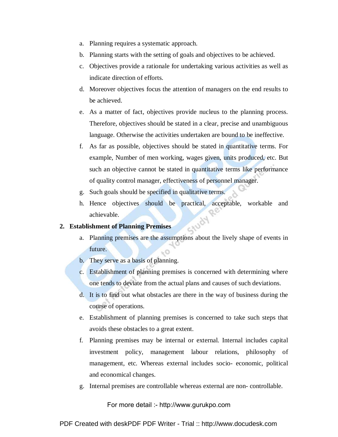- a. Planning requires a systematic approach.
- b. Planning starts with the setting of goals and objectives to be achieved.
- c. Objectives provide a rationale for undertaking various activities as well as indicate direction of efforts.
- d. Moreover objectives focus the attention of managers on the end results to be achieved.
- e. As a matter of fact, objectives provide nucleus to the planning process. Therefore, objectives should be stated in a clear, precise and unambiguous language. Otherwise the activities undertaken are bound to be ineffective.
- f. As far as possible, objectives should be stated in quantitative terms. For example, Number of men working, wages given, units produced, etc. But such an objective cannot be stated in quantitative terms like performance of quality control manager, effectiveness of personnel manager.
- g. Such goals should be specified in qualitative terms.
- h. Hence objectives should be practical, acceptable, workable and achievable. and and the premises are the assumptions about the lively shape of events in

#### **2. Establishment of Planning Premises**

- future.
- b. They serve as a basis of planning.
- c. Establishment of planning premises is concerned with determining where one tends to deviate from the actual plans and causes of such deviations.
- d. It is to find out what obstacles are there in the way of business during the course of operations.
- e. Establishment of planning premises is concerned to take such steps that avoids these obstacles to a great extent.
- f. Planning premises may be internal or external. Internal includes capital investment policy, management labour relations, philosophy of management, etc. Whereas external includes socio- economic, political and economical changes.
- g. Internal premises are controllable whereas external are non- controllable.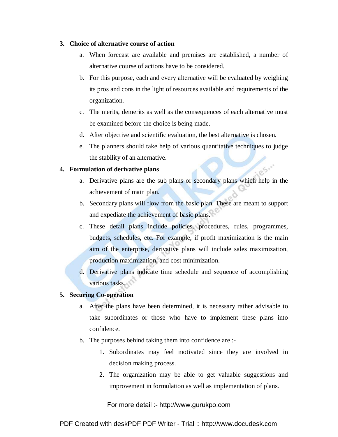#### **3. Choice of alternative course of action**

- a. When forecast are available and premises are established, a number of alternative course of actions have to be considered.
- b. For this purpose, each and every alternative will be evaluated by weighing its pros and cons in the light of resources available and requirements of the organization.
- c. The merits, demerits as well as the consequences of each alternative must be examined before the choice is being made.
- d. After objective and scientific evaluation, the best alternative is chosen.
- e. The planners should take help of various quantitative techniques to judge the stability of an alternative.

#### **4. Formulation of derivative plans**

- a. Derivative plans are the sub plans or secondary plans which help in the achievement of main plan.
- b. Secondary plans will flow from the basic plan. These are meant to support and expediate the achievement of basic plans.
- c. These detail plans include policies, procedures, rules, programmes, budgets, schedules, etc. For example, if profit maximization is the main aim of the enterprise, derivative plans will include sales maximization, production maximization, and cost minimization.
- d. Derivative plans indicate time schedule and sequence of accomplishing various tasks.

#### **5. Securing Co-operation**

- a. After the plans have been determined, it is necessary rather advisable to take subordinates or those who have to implement these plans into confidence.
- b. The purposes behind taking them into confidence are :-
	- 1. Subordinates may feel motivated since they are involved in decision making process.
	- 2. The organization may be able to get valuable suggestions and improvement in formulation as well as implementation of plans.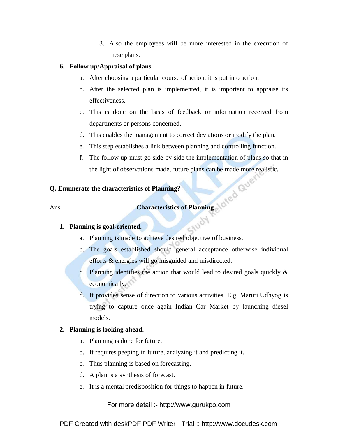3. Also the employees will be more interested in the execution of these plans.

#### **6. Follow up/Appraisal of plans**

- a. After choosing a particular course of action, it is put into action.
- b. After the selected plan is implemented, it is important to appraise its effectiveness.
- c. This is done on the basis of feedback or information received from departments or persons concerned.
- d. This enables the management to correct deviations or modify the plan.
- e. This step establishes a link between planning and controlling function.
- f. The follow up must go side by side the implementation of plans so that in the light of observations made, future plans can be made more realistic.

## **Q. Enumerate the characteristics of Planning?**  Ans. **Characteristics of Planning and Called** Contracteristics of Planning and Called<sup> Cont</sup>

#### **1. Planning is goal-oriented.**

- a. Planning is made to achieve desired objective of business.
- b. The goals established should general acceptance otherwise individual efforts & energies will go misguided and misdirected.
- c. Planning identifies the action that would lead to desired goals quickly & economically.
- d. It provides sense of direction to various activities. E.g. Maruti Udhyog is trying to capture once again Indian Car Market by launching diesel models.

#### **2. Planning is looking ahead.**

- a. Planning is done for future.
- b. It requires peeping in future, analyzing it and predicting it.
- c. Thus planning is based on forecasting.
- d. A plan is a synthesis of forecast.
- e. It is a mental predisposition for things to happen in future.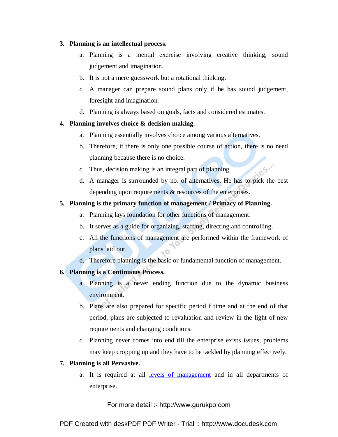#### **3. Planning is an intellectual process.**

- a. Planning is a mental exercise involving creative thinking, sound judgement and imagination.
- b. It is not a mere guesswork but a rotational thinking.
- c. A manager can prepare sound plans only if he has sound judgement, foresight and imagination.
- d. Planning is always based on goals, facts and considered estimates.

#### **4. Planning involves choice & decision making.**

- a. Planning essentially involves choice among various alternatives.
- b. Therefore, if there is only one possible course of action, there is no need planning because there is no choice. **CS.**
- c. Thus, decision making is an integral part of planning.
- d. A manager is surrounded by no. of alternatives. He has to pick the best depending upon requirements & resources of the enterprises.

#### **5. Planning is the primary function of management / Primacy of Planning.**

- a. Planning lays foundation for other functions of management.
- b. It serves as a guide for organizing, staffing, directing and controlling.
- c. All the functions of management are performed within the framework of plans laid out.
- d. Therefore planning is the basic or fundamental function of management.

#### **6. Planning is a Continuous Process.**

- a. Planning is a never ending function due to the dynamic business environment.
- b. Plans are also prepared for specific period f time and at the end of that period, plans are subjected to revaluation and review in the light of new requirements and changing conditions.
- c. Planning never comes into end till the enterprise exists issues, problems may keep cropping up and they have to be tackled by planning effectively.

#### **7. Planning is all Pervasive.**

a. It is required at all levels of management and in all departments of enterprise.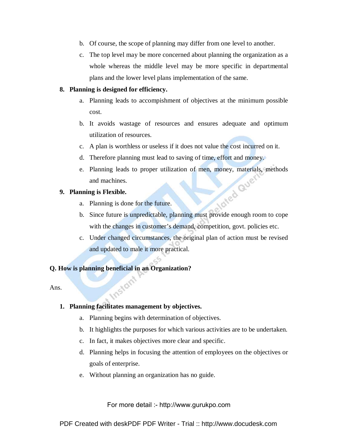- b. Of course, the scope of planning may differ from one level to another.
- c. The top level may be more concerned about planning the organization as a whole whereas the middle level may be more specific in departmental plans and the lower level plans implementation of the same.

#### **8. Planning is designed for efficiency.**

- a. Planning leads to accompishment of objectives at the minimum possible cost.
- b. It avoids wastage of resources and ensures adequate and optimum utilization of resources.
- c. A plan is worthless or useless if it does not value the cost incurred on it.
- d. Therefore planning must lead to saving of time, effort and money.
- e. Planning leads to proper utilization of men, money, materials, methods<br>and machines.<br>nning is Flexible.<br>a. Planning is done for the f and machines.

#### **9. Planning is Flexible.**

- a. Planning is done for the future.
- b. Since future is unpredictable, planning must provide enough room to cope with the changes in customer's demand, competition, govt. policies etc.
- c. Under changed circumstances, the original plan of action must be revised and updated to male it more practical.

#### **Q. How is planning beneficial in an Organization?**

**Instant** 

Ans.

### **1. Planning facilitates management by objectives.**

- a. Planning begins with determination of objectives.
- b. It highlights the purposes for which various activities are to be undertaken.
- c. In fact, it makes objectives more clear and specific.
- d. Planning helps in focusing the attention of employees on the objectives or goals of enterprise.
- e. Without planning an organization has no guide.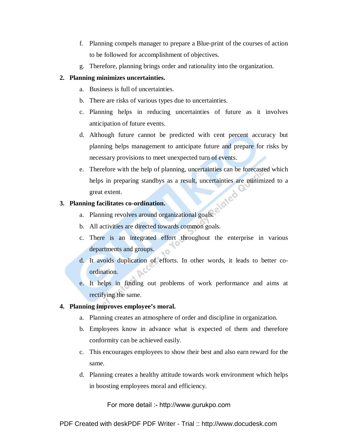- f. Planning compels manager to prepare a Blue-print of the courses of action to be followed for accomplishment of objectives.
- g. Therefore, planning brings order and rationality into the organization.

#### **2. Planning minimizes uncertainties.**

- a. Business is full of uncertainties.
- b. There are risks of various types due to uncertainties.
- c. Planning helps in reducing uncertainties of future as it involves anticipation of future events.
- d. Although future cannot be predicted with cent percent accuracy but planning helps management to anticipate future and prepare for risks by necessary provisions to meet unexpected turn of events.
- e. Therefore with the help of planning, uncertainties can be forecasted which helps in preparing standbys as a result, uncertainties are minimized to a great extent.

#### **3. Planning facilitates co-ordination.**

- a. Planning revolves around organizational goals.
- b. All activities are directed towards common goals.
- c. There is an integrated effort throughout the enterprise in various departments and groups.  $\circ$
- d. It avoids duplication of efforts. In other words, it leads to better coordination.
- e. It helps in finding out problems of work performance and aims at rectifying the same.

#### **4. Planning improves employee's moral.**

- a. Planning creates an atmosphere of order and discipline in organization.
- b. Employees know in advance what is expected of them and therefore conformity can be achieved easily.
- c. This encourages employees to show their best and also earn reward for the same.
- d. Planning creates a healthy attitude towards work environment which helps in boosting employees moral and efficiency.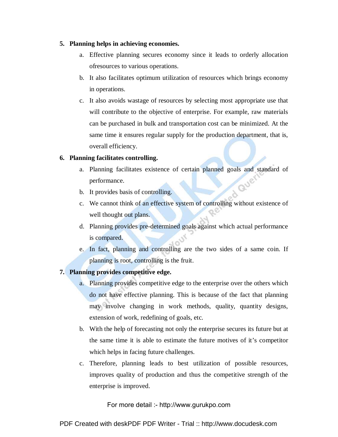#### **5. Planning helps in achieving economies.**

- a. Effective planning secures economy since it leads to orderly allocation ofresources to various operations.
- b. It also facilitates optimum utilization of resources which brings economy in operations.
- c. It also avoids wastage of resources by selecting most appropriate use that will contribute to the objective of enterprise. For example, raw materials can be purchased in bulk and transportation cost can be minimized. At the same time it ensures regular supply for the production department, that is, overall efficiency.

#### **6. Planning facilitates controlling.**

- a. Planning facilitates existence of certain planned goals and standard of performance.<br>b. It provides hosis of performance.
- b. It provides basis of controlling.
- c. We cannot think of an effective system of controlling without existence of well thought out plans.
- d. Planning provides pre-determined goals against which actual performance is compared.
- e. In fact, planning and controlling are the two sides of a same coin. If planning is root, controlling is the fruit.

#### **7. Planning provides competitive edge.**

- a. Planning provides competitive edge to the enterprise over the others which do not have effective planning. This is because of the fact that planning may involve changing in work methods, quality, quantity designs, extension of work, redefining of goals, etc.
- b. With the help of forecasting not only the enterprise secures its future but at the same time it is able to estimate the future motives of it's competitor which helps in facing future challenges.
- c. Therefore, planning leads to best utilization of possible resources, improves quality of production and thus the competitive strength of the enterprise is improved.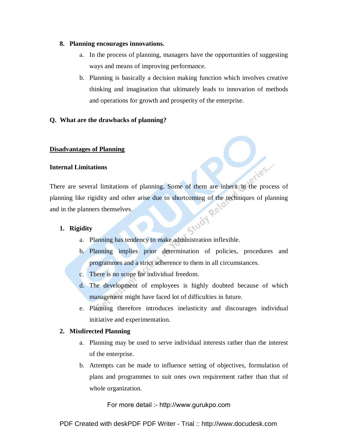#### **8. Planning encourages innovations.**

- a. In the process of planning, managers have the opportunities of suggesting ways and means of improving performance.
- b. Planning is basically a decision making function which involves creative thinking and imagination that ultimately leads to innovation of methods and operations for growth and prosperity of the enterprise.

#### **Q. What are the drawbacks of planning?**

#### **Disadvantages of Planning**

#### **Internal Limitations**

There are several limitations of planning. Some of them are inherit in the process of planning like rigidity and other arise due to shortcoming of the techniques of planning<br>and in the planners themselves.<br>1. Rigidity and in the planners themselves.

#### **1. Rigidity**

- a. Planning has tendency to make administration inflexible.
- b. Planning implies prior determination of policies, procedures and programmes and a strict adherence to them in all circumstances.
- c. There is no scope for individual freedom.
- d. The development of employees is highly doubted because of which management might have faced lot of difficulties in future.
- e. Planning therefore introduces inelasticity and discourages individual initiative and experimentation.

#### **2. Misdirected Planning**

- a. Planning may be used to serve individual interests rather than the interest of the enterprise.
- b. Attempts can be made to influence setting of objectives, formulation of plans and programmes to suit ones own requirement rather than that of whole organization.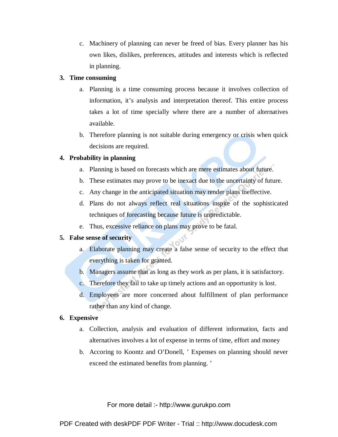c. Machinery of planning can never be freed of bias. Every planner has his own likes, dislikes, preferences, attitudes and interests which is reflected in planning.

#### **3. Time consuming**

- a. Planning is a time consuming process because it involves collection of information, it's analysis and interpretation thereof. This entire process takes a lot of time specially where there are a number of alternatives available.
- b. Therefore planning is not suitable during emergency or crisis when quick decisions are required.

#### **4. Probability in planning**

- a. Planning is based on forecasts which are mere estimates about future.
- b. These estimates may prove to be inexact due to the uncertainty of future.
- c. Any change in the anticipated situation may render plans ineffective.
- d. Plans do not always reflect real situations inspite of the sophisticated techniques of forecasting because future is unpredictable.
- e. Thus, excessive reliance on plans may prove to be fatal.

#### **5. False sense of security**

- a. Elaborate planning may create a false sense of security to the effect that everything is taken for granted.
- b. Managers assume that as long as they work as per plans, it is satisfactory.
- c. Therefore they fail to take up timely actions and an opportunity is lost.
- d. Employees are more concerned about fulfillment of plan performance rather than any kind of change.

#### **6. Expensive**

- a. Collection, analysis and evaluation of different information, facts and alternatives involves a lot of expense in terms of time, effort and money
- b. Accoring to Koontz and O'Donell, ' Expenses on planning should never exceed the estimated benefits from planning. '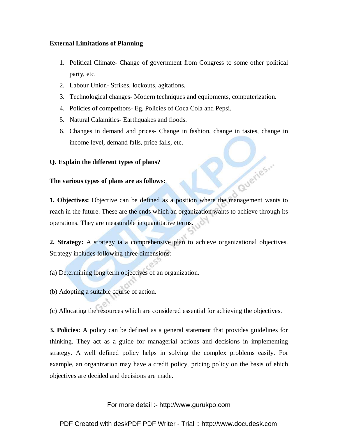#### **External Limitations of Planning**

- 1. Political Climate- Change of government from Congress to some other political party, etc.
- 2. Labour Union- Strikes, lockouts, agitations.
- 3. Technological changes- Modern techniques and equipments, computerization.
- 4. Policies of competitors- Eg. Policies of Coca Cola and Pepsi.
- 5. Natural Calamities- Earthquakes and floods.
- 6. Changes in demand and prices- Change in fashion, change in tastes, change in income level, demand falls, price falls, etc.

duerles...

#### **Q. Explain the different types of plans?**

#### **The various types of plans are as follows:**

**1. Objectives:** Objective can be defined as a position where the management wants to reach in the future. These are the ends which an organization wants to achieve through its operations. They are measurable in quantitative terms.

**2. Strategy:** A strategy ia a comprehensive plan to achieve organizational objectives. Strategy includes following three dimensions:

(a) Determining long term objectives of an organization.

(b) Adopting a suitable course of action.

(c) Allocating the resources which are considered essential for achieving the objectives.

**3. Policies:** A policy can be defined as a general statement that provides guidelines for thinking. They act as a guide for managerial actions and decisions in implementing strategy. A well defined policy helps in solving the complex problems easily. For example, an organization may have a credit policy, pricing policy on the basis of ehich objectives are decided and decisions are made.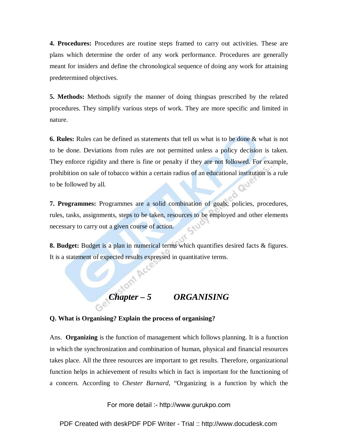**4. Procedures:** Procedures are routine steps framed to carry out activities. These are plans which determine the order of any work performance. Procedures are generally meant for insiders and define the chronological sequence of doing any work for attaining predetermined objectives.

**5. Methods:** Methods signify the manner of doing thingsas prescribed by the related procedures. They simplify various steps of work. They are more specific and limited in nature.

**6. Rules:** Rules can be defined as statements that tell us what is to be done & what is not to be done. Deviations from rules are not permitted unless a policy decision is taken. They enforce rigidity and there is fine or penalty if they are not followed. For example, prohibition on sale of tobacco within a certain radius of an educational institution is a rule **QU'** to be followed by all.

**7. Programmes:** Programmes are a solid combination of goals, policies, procedures, rules, tasks, assignments, steps to be taken, resources to be employed and other elements necessary to carry out a given course of action.

**8. Budget:** Budget is a plan in numerical terms which quantifies desired facts & figures. It is a statement of expected results expressed in quantitative terms.

# **Chapter – 5 ORGANISING**

#### **Q. What is Organising? Explain the process of organising?**

Ans. **Organizing** is the function of management which follows planning. It is a function in which the synchronization and combination of human, physical and financial resources takes place. All the three resources are important to get results. Therefore, organizational function helps in achievement of results which in fact is important for the functioning of a concern. According to *Chester Barnard*, "Organizing is a function by which the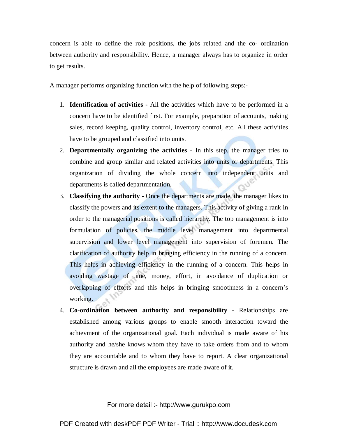concern is able to define the role positions, the jobs related and the co- ordination between authority and responsibility. Hence, a manager always has to organize in order to get results.

A manager performs organizing function with the help of following steps:-

- 1. **Identification of activities -** All the activities which have to be performed in a concern have to be identified first. For example, preparation of accounts, making sales, record keeping, quality control, inventory control, etc. All these activities have to be grouped and classified into units.
- 2. **Departmentally organizing the activities -** In this step, the manager tries to combine and group similar and related activities into units or departments. This organization of dividing the whole concern into independent units and departments is called departmentation.
- 3. **Classifying the authority -** Once the departments are made, the manager likes to classify the powers and its extent to the managers. This activity of giving a rank in order to the managerial positions is called hierarchy. The top management is into formulation of policies, the middle level management into departmental supervision and lower level management into supervision of foremen. The clarification of authority help in bringing efficiency in the running of a concern. This helps in achieving efficiency in the running of a concern. This helps in avoiding wastage of time, money, effort, in avoidance of duplication or overlapping of efforts and this helps in bringing smoothness in a concern's working.
- 4. **Co-ordination between authority and responsibility -** Relationships are established among various groups to enable smooth interaction toward the achievment of the organizational goal. Each individual is made aware of his authority and he/she knows whom they have to take orders from and to whom they are accountable and to whom they have to report. A clear organizational structure is drawn and all the employees are made aware of it.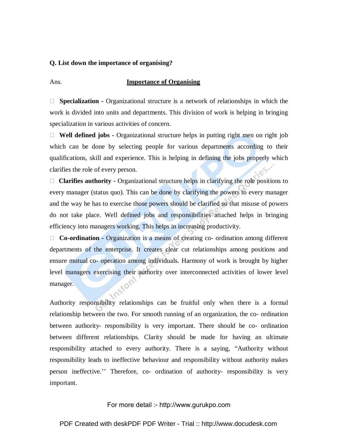#### **Q. List down the importance of organising?**

#### Ans. **Importance of Organising**

 **Specialization -** Organizational structure is a network of relationships in which the work is divided into units and departments. This division of work is helping in bringing specialization in various activities of concern.

 **Well defined jobs -** Organizational structure helps in putting right men on right job which can be done by selecting people for various departments according to their qualifications, skill and experience. This is helping in defining the jobs properly which clarifies the role of every person.

 **Clarifies authority -** Organizational structure helps in clarifying the role positions to every manager (status quo). This can be done by clarifying the powers to every manager and the way he has to exercise those powers should be clarified so that misuse of powers do not take place. Well defined jobs and responsibilities attached helps in bringing efficiency into managers working. This helps in increasing productivity.

 **Co-ordination -** Organization is a means of creating co- ordination among different departments of the enterprise. It creates clear cut relationships among positions and ensure mutual co- operation among individuals. Harmony of work is brought by higher level managers exercising their authority over interconnected activities of lower level manager.

Authority responsibility relationships can be fruitful only when there is a formal relationship between the two. For smooth running of an organization, the co- ordination between authority- responsibility is very important. There should be co- ordination between different relationships. Clarity should be made for having an ultimate responsibility attached to every authority. There is a saying, "Authority without responsibility leads to ineffective behaviour and responsibility without authority makes person ineffective.'' Therefore, co- ordination of authority- responsibility is very important.